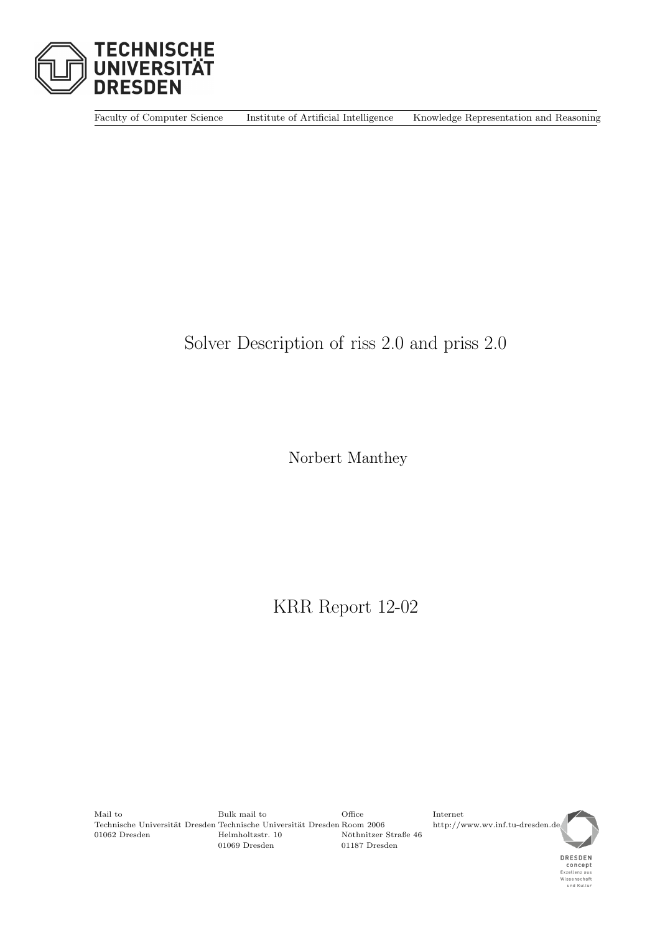

Faculty of Computer Science Institute of Artificial Intelligence Knowledge Representation and Reasoning

# Solver Description of riss 2.0 and priss 2.0

Norbert Manthey

KRR Report 12-02

<span id="page-0-0"></span>Mail to Bulk mail to Office Internet Technische Universität Dresden Room 2006 http://www.wv.inf.tu-dresden.de<br>
10062 Dresden Helmholtzstr. 10 Nöthnitzer Straße 46 10 Nöthnitzer Straße 46<br>10069 Dresden 1187 Dresden 10009 Dresden 1187 Dresden 1187 Dresden 1000 November 1000 November 1000 November 20 01187 Dresden

DRESDEN **CONCEPT**<br>Exzellenz aus<br>Wissenschaft<br>und Kultur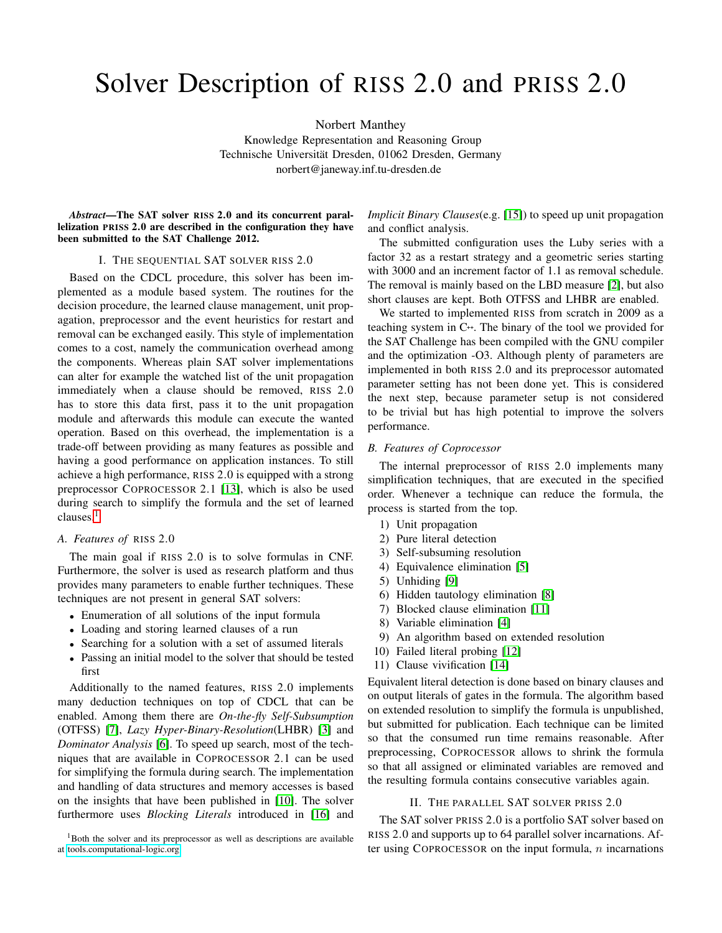# Solver Description of RISS 2.0 and PRISS 2.0

Norbert Manthey

Knowledge Representation and Reasoning Group Technische Universität Dresden, 01062 Dresden, Germany norbert@janeway.inf.tu-dresden.de

*Abstract*—The SAT solver RISS 2.0 and its concurrent parallelization PRISS 2.0 are described in the configuration they have been submitted to the SAT Challenge 2012.

#### <span id="page-1-16"></span>I. THE SEQUENTIAL SAT SOLVER RISS 2.0

Based on the CDCL procedure, this solver has been implemented as a module based system. The routines for the decision procedure, the learned clause management, unit propagation, preprocessor and the event heuristics for restart and removal can be exchanged easily. This style of implementation comes to a cost, namely the communication overhead among the components. Whereas plain SAT solver implementations can alter for example the watched list of the unit propagation immediately when a clause should be removed, RISS 2.0 has to store this data first, pass it to the unit propagation module and afterwards this module can execute the wanted operation. Based on this overhead, the implementation is a trade-off between providing as many features as possible and having a good performance on application instances. To still achieve a high performance, RISS 2.0 is equipped with a strong preprocessor COPROCESSOR 2.1 [\[13\]](#page-1-0), which is also be used during search to simplify the formula and the set of learned clauses.<sup>[1](#page-0-0)</sup>

## *A. Features of* RISS 2.0

The main goal if RISS 2.0 is to solve formulas in CNF. Furthermore, the solver is used as research platform and thus provides many parameters to enable further techniques. These techniques are not present in general SAT solvers:

- Enumeration of all solutions of the input formula
- Loading and storing learned clauses of a run
- Searching for a solution with a set of assumed literals
- Passing an initial model to the solver that should be tested first

Additionally to the named features, RISS 2.0 implements many deduction techniques on top of CDCL that can be enabled. Among them there are *On-the-fly Self-Subsumption* (OTFSS) [\[7\]](#page-1-1), *Lazy Hyper-Binary-Resolution*(LHBR) [\[3\]](#page-1-2) and *Dominator Analysis* [\[6\]](#page-1-3). To speed up search, most of the techniques that are available in COPROCESSOR 2.1 can be used for simplifying the formula during search. The implementation and handling of data structures and memory accesses is based on the insights that have been published in [\[10\]](#page-1-4). The solver furthermore uses *Blocking Literals* introduced in [\[16\]](#page-1-5) and <span id="page-1-15"></span>*Implicit Binary Clauses*(e.g. [\[15\]](#page-1-6)) to speed up unit propagation and conflict analysis.

The submitted configuration uses the Luby series with a factor 32 as a restart strategy and a geometric series starting with 3000 and an increment factor of 1.1 as removal schedule. The removal is mainly based on the LBD measure [\[2\]](#page-1-7), but also short clauses are kept. Both OTFSS and LHBR are enabled.

<span id="page-1-12"></span><span id="page-1-7"></span><span id="page-1-2"></span>We started to implemented RISS from scratch in 2009 as a teaching system in C++. The binary of the tool we provided for the SAT Challenge has been compiled with the GNU compiler and the optimization -O3. Although plenty of parameters are implemented in both RISS 2.0 and its preprocessor automated parameter setting has not been done yet. This is considered the next step, because parameter setup is not considered to be trivial but has high potential to improve the solvers performance.

#### <span id="page-1-8"></span><span id="page-1-3"></span><span id="page-1-1"></span>*B. Features of Coprocessor*

<span id="page-1-10"></span>The internal preprocessor of RISS 2.0 implements many simplification techniques, that are executed in the specified order. Whenever a technique can reduce the formula, the process is started from the top.

- <span id="page-1-9"></span>1) Unit propagation
- 2) Pure literal detection
- 3) Self-subsuming resolution
- <span id="page-1-4"></span>4) Equivalence elimination [\[5\]](#page-1-8)
- 5) Unhiding [\[9\]](#page-1-9)
- 6) Hidden tautology elimination [\[8\]](#page-1-10)
- <span id="page-1-11"></span>7) Blocked clause elimination [\[11\]](#page-1-11)
- 8) Variable elimination [\[4\]](#page-1-12)
- 9) An algorithm based on extended resolution
- <span id="page-1-13"></span>10) Failed literal probing [\[12\]](#page-1-13)
- 11) Clause vivification [\[14\]](#page-1-14)

<span id="page-1-14"></span><span id="page-1-6"></span><span id="page-1-0"></span>Equivalent literal detection is done based on binary clauses and on output literals of gates in the formula. The algorithm based on extended resolution to simplify the formula is unpublished, but submitted for publication. Each technique can be limited so that the consumed run time remains reasonable. After preprocessing, COPROCESSOR allows to shrink the formula so that all assigned or eliminated variables are removed and the resulting formula contains consecutive variables again.

### <span id="page-1-5"></span>II. THE PARALLEL SAT SOLVER PRISS 2.0

<span id="page-1-17"></span>The SAT solver PRISS 2.0 is a portfolio SAT solver based on RISS 2.0 and supports up to 64 parallel solver incarnations. After using COPROCESSOR on the input formula,  $n$  incarnations

<sup>&</sup>lt;sup>1</sup>Both the solver and its preprocessor as well as descriptions are available at [tools.computational-logic.org.](tools.computational-logic.org)